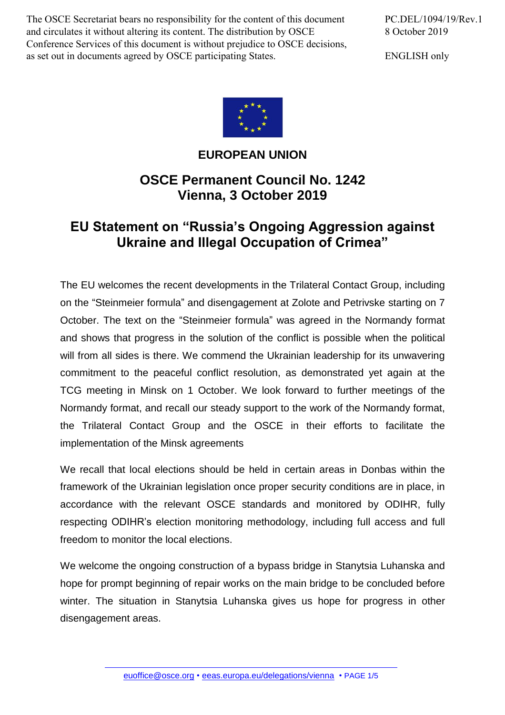The OSCE Secretariat bears no responsibility for the content of this document and circulates it without altering its content. The distribution by OSCE Conference Services of this document is without prejudice to OSCE decisions, as set out in documents agreed by OSCE participating States.

PC.DEL/1094/19/Rev.1 8 October 2019

ENGLISH only



## **EUROPEAN UNION**

## **OSCE Permanent Council No. 1242 Vienna, 3 October 2019**

## **EU Statement on "Russia's Ongoing Aggression against Ukraine and Illegal Occupation of Crimea"**

The EU welcomes the recent developments in the Trilateral Contact Group, including on the "Steinmeier formula" and disengagement at Zolote and Petrivske starting on 7 October. The text on the "Steinmeier formula" was agreed in the Normandy format and shows that progress in the solution of the conflict is possible when the political will from all sides is there. We commend the Ukrainian leadership for its unwavering commitment to the peaceful conflict resolution, as demonstrated yet again at the TCG meeting in Minsk on 1 October. We look forward to further meetings of the Normandy format, and recall our steady support to the work of the Normandy format, the Trilateral Contact Group and the OSCE in their efforts to facilitate the implementation of the Minsk agreements

We recall that local elections should be held in certain areas in Donbas within the framework of the Ukrainian legislation once proper security conditions are in place, in accordance with the relevant OSCE standards and monitored by ODIHR, fully respecting ODIHR's election monitoring methodology, including full access and full freedom to monitor the local elections.

We welcome the ongoing construction of a bypass bridge in Stanytsia Luhanska and hope for prompt beginning of repair works on the main bridge to be concluded before winter. The situation in Stanytsia Luhanska gives us hope for progress in other disengagement areas.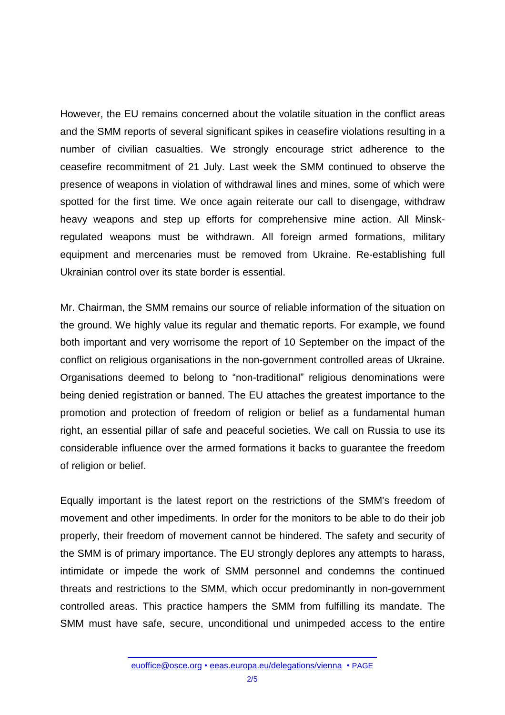However, the EU remains concerned about the volatile situation in the conflict areas and the SMM reports of several significant spikes in ceasefire violations resulting in a number of civilian casualties. We strongly encourage strict adherence to the ceasefire recommitment of 21 July. Last week the SMM continued to observe the presence of weapons in violation of withdrawal lines and mines, some of which were spotted for the first time. We once again reiterate our call to disengage, withdraw heavy weapons and step up efforts for comprehensive mine action. All Minskregulated weapons must be withdrawn. All foreign armed formations, military equipment and mercenaries must be removed from Ukraine. Re-establishing full Ukrainian control over its state border is essential.

Mr. Chairman, the SMM remains our source of reliable information of the situation on the ground. We highly value its regular and thematic reports. For example, we found both important and very worrisome the report of 10 September on the impact of the conflict on religious organisations in the non-government controlled areas of Ukraine. Organisations deemed to belong to "non-traditional" religious denominations were being denied registration or banned. The EU attaches the greatest importance to the promotion and protection of freedom of religion or belief as a fundamental human right, an essential pillar of safe and peaceful societies. We call on Russia to use its considerable influence over the armed formations it backs to guarantee the freedom of religion or belief.

Equally important is the latest report on the restrictions of the SMM's freedom of movement and other impediments. In order for the monitors to be able to do their job properly, their freedom of movement cannot be hindered. The safety and security of the SMM is of primary importance. The EU strongly deplores any attempts to harass, intimidate or impede the work of SMM personnel and condemns the continued threats and restrictions to the SMM, which occur predominantly in non-government controlled areas. This practice hampers the SMM from fulfilling its mandate. The SMM must have safe, secure, unconditional und unimpeded access to the entire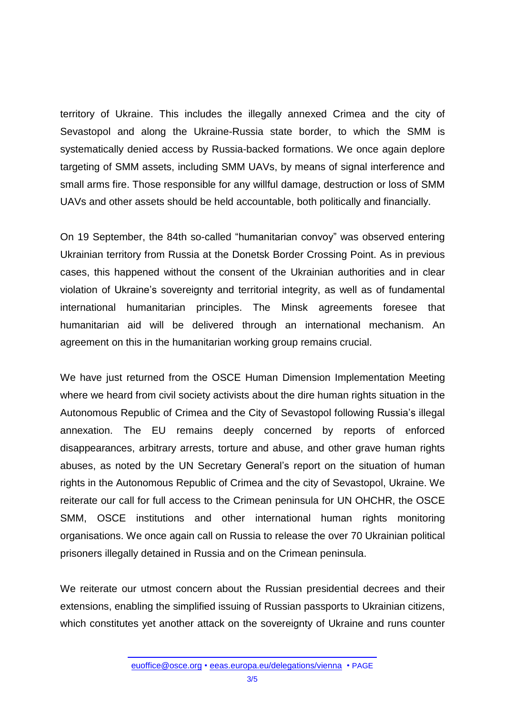territory of Ukraine. This includes the illegally annexed Crimea and the city of Sevastopol and along the Ukraine-Russia state border, to which the SMM is systematically denied access by Russia-backed formations. We once again deplore targeting of SMM assets, including SMM UAVs, by means of signal interference and small arms fire. Those responsible for any willful damage, destruction or loss of SMM UAVs and other assets should be held accountable, both politically and financially.

On 19 September, the 84th so-called "humanitarian convoy" was observed entering Ukrainian territory from Russia at the Donetsk Border Crossing Point. As in previous cases, this happened without the consent of the Ukrainian authorities and in clear violation of Ukraine's sovereignty and territorial integrity, as well as of fundamental international humanitarian principles. The Minsk agreements foresee that humanitarian aid will be delivered through an international mechanism. An agreement on this in the humanitarian working group remains crucial.

We have just returned from the OSCE Human Dimension Implementation Meeting where we heard from civil society activists about the dire human rights situation in the Autonomous Republic of Crimea and the City of Sevastopol following Russia's illegal annexation. The EU remains deeply concerned by reports of enforced disappearances, arbitrary arrests, torture and abuse, and other grave human rights abuses, as noted by the UN Secretary General's report on the situation of human rights in the Autonomous Republic of Crimea and the city of Sevastopol, Ukraine. We reiterate our call for full access to the Crimean peninsula for UN OHCHR, the OSCE SMM, OSCE institutions and other international human rights monitoring organisations. We once again call on Russia to release the over 70 Ukrainian political prisoners illegally detained in Russia and on the Crimean peninsula.

We reiterate our utmost concern about the Russian presidential decrees and their extensions, enabling the simplified issuing of Russian passports to Ukrainian citizens, which constitutes yet another attack on the sovereignty of Ukraine and runs counter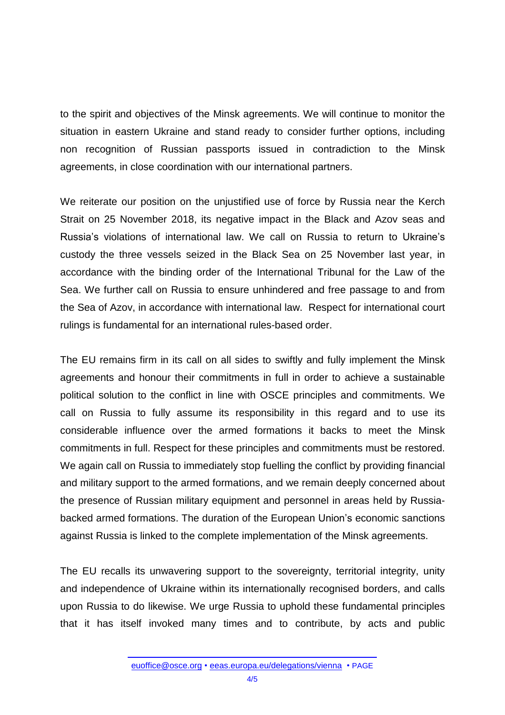to the spirit and objectives of the Minsk agreements. We will continue to monitor the situation in eastern Ukraine and stand ready to consider further options, including non recognition of Russian passports issued in contradiction to the Minsk agreements, in close coordination with our international partners.

We reiterate our position on the unjustified use of force by Russia near the Kerch Strait on 25 November 2018, its negative impact in the Black and Azov seas and Russia's violations of international law. We call on Russia to return to Ukraine's custody the three vessels seized in the Black Sea on 25 November last year, in accordance with the binding order of the International Tribunal for the Law of the Sea. We further call on Russia to ensure unhindered and free passage to and from the Sea of Azov, in accordance with international law. Respect for international court rulings is fundamental for an international rules-based order.

The EU remains firm in its call on all sides to swiftly and fully implement the Minsk agreements and honour their commitments in full in order to achieve a sustainable political solution to the conflict in line with OSCE principles and commitments. We call on Russia to fully assume its responsibility in this regard and to use its considerable influence over the armed formations it backs to meet the Minsk commitments in full. Respect for these principles and commitments must be restored. We again call on Russia to immediately stop fuelling the conflict by providing financial and military support to the armed formations, and we remain deeply concerned about the presence of Russian military equipment and personnel in areas held by Russiabacked armed formations. The duration of the European Union's economic sanctions against Russia is linked to the complete implementation of the Minsk agreements.

The EU recalls its unwavering support to the sovereignty, territorial integrity, unity and independence of Ukraine within its internationally recognised borders, and calls upon Russia to do likewise. We urge Russia to uphold these fundamental principles that it has itself invoked many times and to contribute, by acts and public